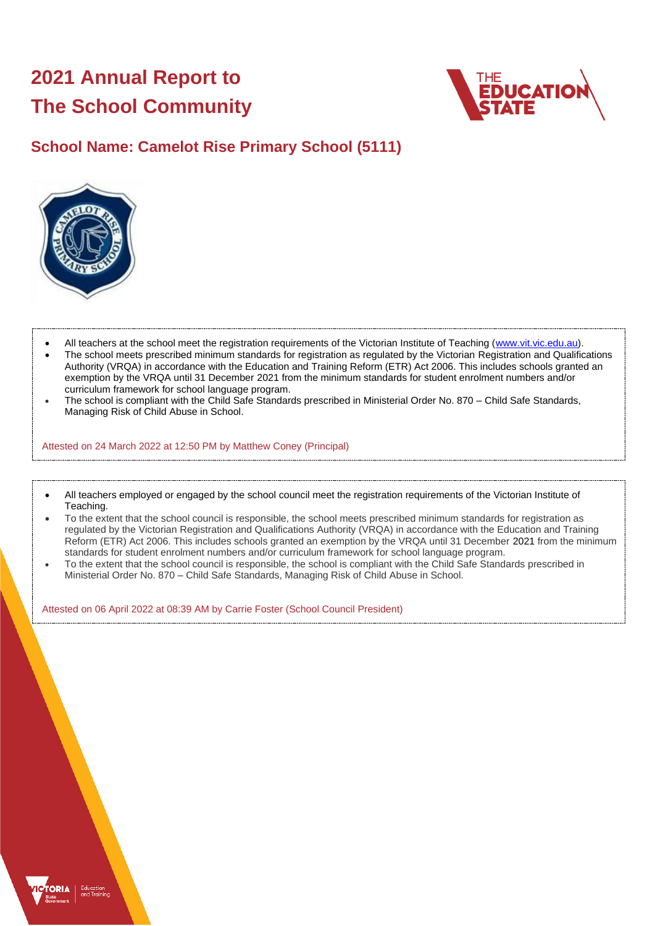# **2021 Annual Report to The School Community**



# **School Name: Camelot Rise Primary School (5111)**



- All teachers at the school meet the registration requirements of the Victorian Institute of Teaching [\(www.vit.vic.edu.au\)](https://www.vit.vic.edu.au/).
- The school meets prescribed minimum standards for registration as regulated by the Victorian Registration and Qualifications Authority (VRQA) in accordance with the Education and Training Reform (ETR) Act 2006. This includes schools granted an exemption by the VRQA until 31 December 2021 from the minimum standards for student enrolment numbers and/or curriculum framework for school language program.
- The school is compliant with the Child Safe Standards prescribed in Ministerial Order No. 870 Child Safe Standards, Managing Risk of Child Abuse in School.

Attested on 24 March 2022 at 12:50 PM by Matthew Coney (Principal)

- All teachers employed or engaged by the school council meet the registration requirements of the Victorian Institute of Teaching.
- To the extent that the school council is responsible, the school meets prescribed minimum standards for registration as regulated by the Victorian Registration and Qualifications Authority (VRQA) in accordance with the Education and Training Reform (ETR) Act 2006. This includes schools granted an exemption by the VRQA until 31 December 2021 from the minimum standards for student enrolment numbers and/or curriculum framework for school language program.
- To the extent that the school council is responsible, the school is compliant with the Child Safe Standards prescribed in Ministerial Order No. 870 – Child Safe Standards, Managing Risk of Child Abuse in School.

Attested on 06 April 2022 at 08:39 AM by Carrie Foster (School Council President)

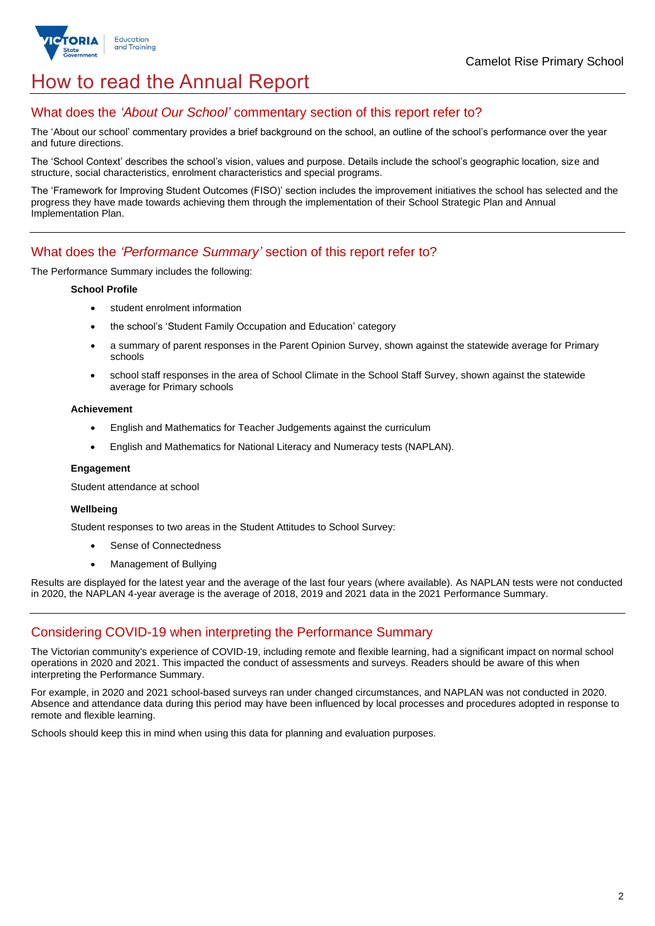

# How to read the Annual Report

### What does the *'About Our School'* commentary section of this report refer to?

The 'About our school' commentary provides a brief background on the school, an outline of the school's performance over the year and future directions.

The 'School Context' describes the school's vision, values and purpose. Details include the school's geographic location, size and structure, social characteristics, enrolment characteristics and special programs.

The 'Framework for Improving Student Outcomes (FISO)' section includes the improvement initiatives the school has selected and the progress they have made towards achieving them through the implementation of their School Strategic Plan and Annual Implementation Plan.

### What does the *'Performance Summary'* section of this report refer to?

The Performance Summary includes the following:

#### **School Profile**

- student enrolment information
- the school's 'Student Family Occupation and Education' category
- a summary of parent responses in the Parent Opinion Survey, shown against the statewide average for Primary schools
- school staff responses in the area of School Climate in the School Staff Survey, shown against the statewide average for Primary schools

#### **Achievement**

- English and Mathematics for Teacher Judgements against the curriculum
- English and Mathematics for National Literacy and Numeracy tests (NAPLAN).

### **Engagement**

Student attendance at school

### **Wellbeing**

Student responses to two areas in the Student Attitudes to School Survey:

- Sense of Connectedness
- Management of Bullying

Results are displayed for the latest year and the average of the last four years (where available). As NAPLAN tests were not conducted in 2020, the NAPLAN 4-year average is the average of 2018, 2019 and 2021 data in the 2021 Performance Summary.

## Considering COVID-19 when interpreting the Performance Summary

The Victorian community's experience of COVID-19, including remote and flexible learning, had a significant impact on normal school operations in 2020 and 2021. This impacted the conduct of assessments and surveys. Readers should be aware of this when interpreting the Performance Summary.

For example, in 2020 and 2021 school-based surveys ran under changed circumstances, and NAPLAN was not conducted in 2020. Absence and attendance data during this period may have been influenced by local processes and procedures adopted in response to remote and flexible learning.

Schools should keep this in mind when using this data for planning and evaluation purposes.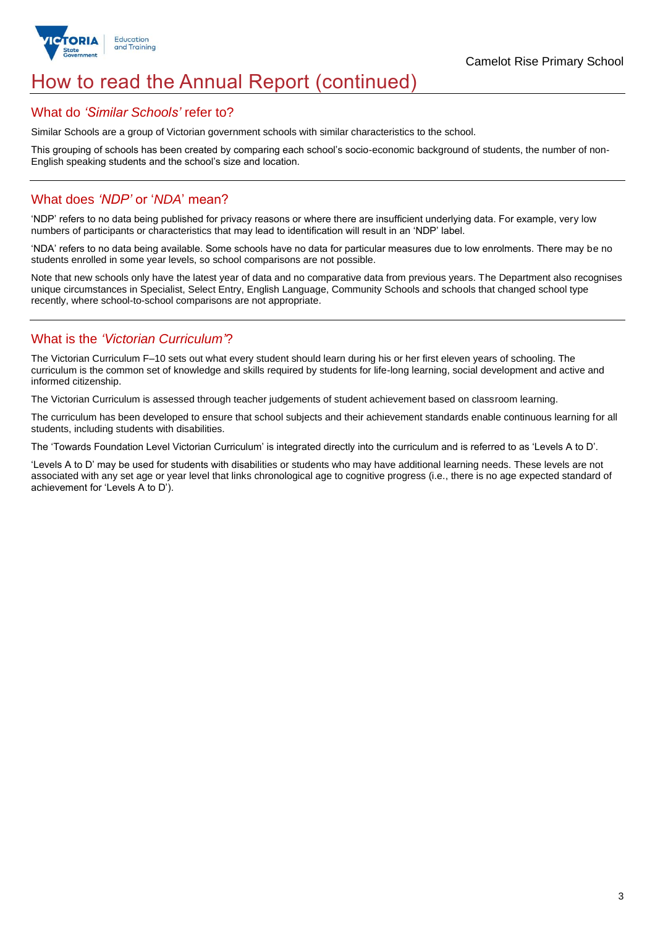

# How to read the Annual Report (continued)

### What do *'Similar Schools'* refer to?

Similar Schools are a group of Victorian government schools with similar characteristics to the school.

This grouping of schools has been created by comparing each school's socio-economic background of students, the number of non-English speaking students and the school's size and location.

### What does *'NDP'* or '*NDA*' mean?

'NDP' refers to no data being published for privacy reasons or where there are insufficient underlying data. For example, very low numbers of participants or characteristics that may lead to identification will result in an 'NDP' label.

'NDA' refers to no data being available. Some schools have no data for particular measures due to low enrolments. There may be no students enrolled in some year levels, so school comparisons are not possible.

Note that new schools only have the latest year of data and no comparative data from previous years. The Department also recognises unique circumstances in Specialist, Select Entry, English Language, Community Schools and schools that changed school type recently, where school-to-school comparisons are not appropriate.

## What is the *'Victorian Curriculum'*?

The Victorian Curriculum F–10 sets out what every student should learn during his or her first eleven years of schooling. The curriculum is the common set of knowledge and skills required by students for life-long learning, social development and active and informed citizenship.

The Victorian Curriculum is assessed through teacher judgements of student achievement based on classroom learning.

The curriculum has been developed to ensure that school subjects and their achievement standards enable continuous learning for all students, including students with disabilities.

The 'Towards Foundation Level Victorian Curriculum' is integrated directly into the curriculum and is referred to as 'Levels A to D'.

'Levels A to D' may be used for students with disabilities or students who may have additional learning needs. These levels are not associated with any set age or year level that links chronological age to cognitive progress (i.e., there is no age expected standard of achievement for 'Levels A to D').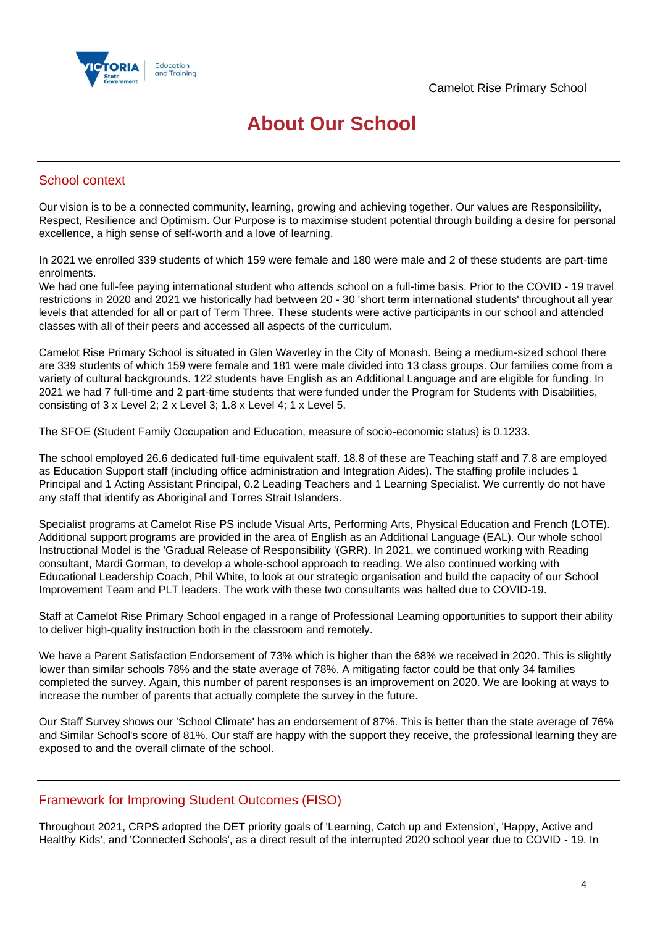

# **About Our School**

### School context

Our vision is to be a connected community, learning, growing and achieving together. Our values are Responsibility, Respect, Resilience and Optimism. Our Purpose is to maximise student potential through building a desire for personal excellence, a high sense of self-worth and a love of learning.

In 2021 we enrolled 339 students of which 159 were female and 180 were male and 2 of these students are part-time enrolments.

We had one full-fee paying international student who attends school on a full-time basis. Prior to the COVID - 19 travel restrictions in 2020 and 2021 we historically had between 20 - 30 'short term international students' throughout all year levels that attended for all or part of Term Three. These students were active participants in our school and attended classes with all of their peers and accessed all aspects of the curriculum.

Camelot Rise Primary School is situated in Glen Waverley in the City of Monash. Being a medium-sized school there are 339 students of which 159 were female and 181 were male divided into 13 class groups. Our families come from a variety of cultural backgrounds. 122 students have English as an Additional Language and are eligible for funding. In 2021 we had 7 full-time and 2 part-time students that were funded under the Program for Students with Disabilities, consisting of 3 x Level 2; 2 x Level 3; 1.8 x Level 4; 1 x Level 5.

The SFOE (Student Family Occupation and Education, measure of socio-economic status) is 0.1233.

The school employed 26.6 dedicated full-time equivalent staff. 18.8 of these are Teaching staff and 7.8 are employed as Education Support staff (including office administration and Integration Aides). The staffing profile includes 1 Principal and 1 Acting Assistant Principal, 0.2 Leading Teachers and 1 Learning Specialist. We currently do not have any staff that identify as Aboriginal and Torres Strait Islanders.

Specialist programs at Camelot Rise PS include Visual Arts, Performing Arts, Physical Education and French (LOTE). Additional support programs are provided in the area of English as an Additional Language (EAL). Our whole school Instructional Model is the 'Gradual Release of Responsibility '(GRR). In 2021, we continued working with Reading consultant, Mardi Gorman, to develop a whole-school approach to reading. We also continued working with Educational Leadership Coach, Phil White, to look at our strategic organisation and build the capacity of our School Improvement Team and PLT leaders. The work with these two consultants was halted due to COVID-19.

Staff at Camelot Rise Primary School engaged in a range of Professional Learning opportunities to support their ability to deliver high-quality instruction both in the classroom and remotely.

We have a Parent Satisfaction Endorsement of 73% which is higher than the 68% we received in 2020. This is slightly lower than similar schools 78% and the state average of 78%. A mitigating factor could be that only 34 families completed the survey. Again, this number of parent responses is an improvement on 2020. We are looking at ways to increase the number of parents that actually complete the survey in the future.

Our Staff Survey shows our 'School Climate' has an endorsement of 87%. This is better than the state average of 76% and Similar School's score of 81%. Our staff are happy with the support they receive, the professional learning they are exposed to and the overall climate of the school.

## Framework for Improving Student Outcomes (FISO)

Throughout 2021, CRPS adopted the DET priority goals of 'Learning, Catch up and Extension', 'Happy, Active and Healthy Kids', and 'Connected Schools', as a direct result of the interrupted 2020 school year due to COVID - 19. In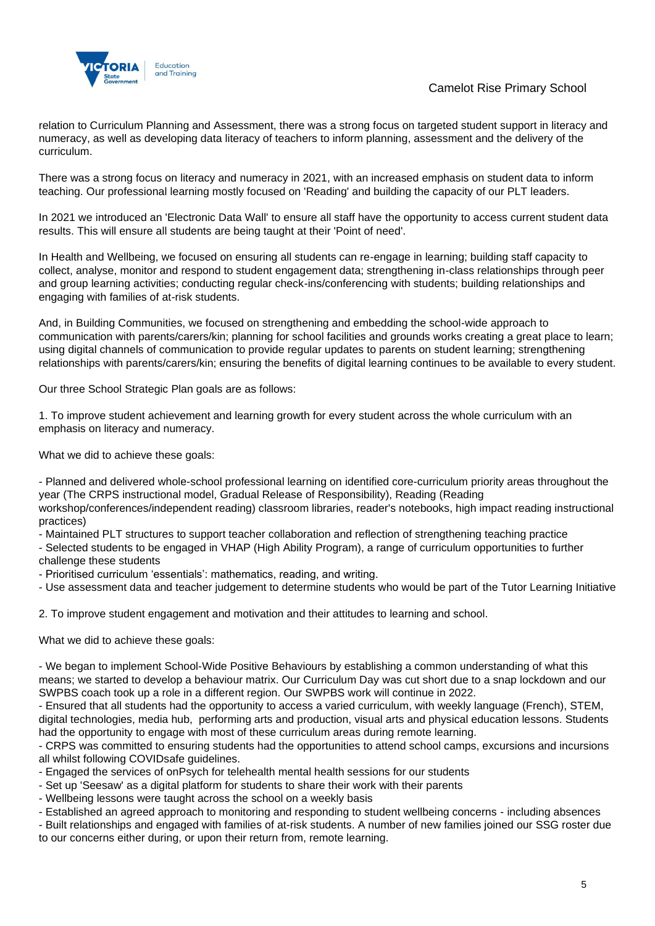

relation to Curriculum Planning and Assessment, there was a strong focus on targeted student support in literacy and numeracy, as well as developing data literacy of teachers to inform planning, assessment and the delivery of the curriculum.

There was a strong focus on literacy and numeracy in 2021, with an increased emphasis on student data to inform teaching. Our professional learning mostly focused on 'Reading' and building the capacity of our PLT leaders.

In 2021 we introduced an 'Electronic Data Wall' to ensure all staff have the opportunity to access current student data results. This will ensure all students are being taught at their 'Point of need'.

In Health and Wellbeing, we focused on ensuring all students can re-engage in learning; building staff capacity to collect, analyse, monitor and respond to student engagement data; strengthening in-class relationships through peer and group learning activities; conducting regular check-ins/conferencing with students; building relationships and engaging with families of at-risk students.

And, in Building Communities, we focused on strengthening and embedding the school-wide approach to communication with parents/carers/kin; planning for school facilities and grounds works creating a great place to learn; using digital channels of communication to provide regular updates to parents on student learning; strengthening relationships with parents/carers/kin; ensuring the benefits of digital learning continues to be available to every student.

Our three School Strategic Plan goals are as follows:

1. To improve student achievement and learning growth for every student across the whole curriculum with an emphasis on literacy and numeracy.

What we did to achieve these goals:

- Planned and delivered whole-school professional learning on identified core-curriculum priority areas throughout the year (The CRPS instructional model, Gradual Release of Responsibility), Reading (Reading

workshop/conferences/independent reading) classroom libraries, reader's notebooks, high impact reading instructional practices)

- Maintained PLT structures to support teacher collaboration and reflection of strengthening teaching practice

- Selected students to be engaged in VHAP (High Ability Program), a range of curriculum opportunities to further challenge these students

- Prioritised curriculum 'essentials': mathematics, reading, and writing.

- Use assessment data and teacher judgement to determine students who would be part of the Tutor Learning Initiative

2. To improve student engagement and motivation and their attitudes to learning and school.

What we did to achieve these goals:

- We began to implement School-Wide Positive Behaviours by establishing a common understanding of what this means; we started to develop a behaviour matrix. Our Curriculum Day was cut short due to a snap lockdown and our SWPBS coach took up a role in a different region. Our SWPBS work will continue in 2022.

- Ensured that all students had the opportunity to access a varied curriculum, with weekly language (French), STEM, digital technologies, media hub, performing arts and production, visual arts and physical education lessons. Students had the opportunity to engage with most of these curriculum areas during remote learning.

- CRPS was committed to ensuring students had the opportunities to attend school camps, excursions and incursions all whilst following COVIDsafe guidelines.

- Engaged the services of onPsych for telehealth mental health sessions for our students

- Set up 'Seesaw' as a digital platform for students to share their work with their parents

- Wellbeing lessons were taught across the school on a weekly basis

- Established an agreed approach to monitoring and responding to student wellbeing concerns - including absences

- Built relationships and engaged with families of at-risk students. A number of new families joined our SSG roster due to our concerns either during, or upon their return from, remote learning.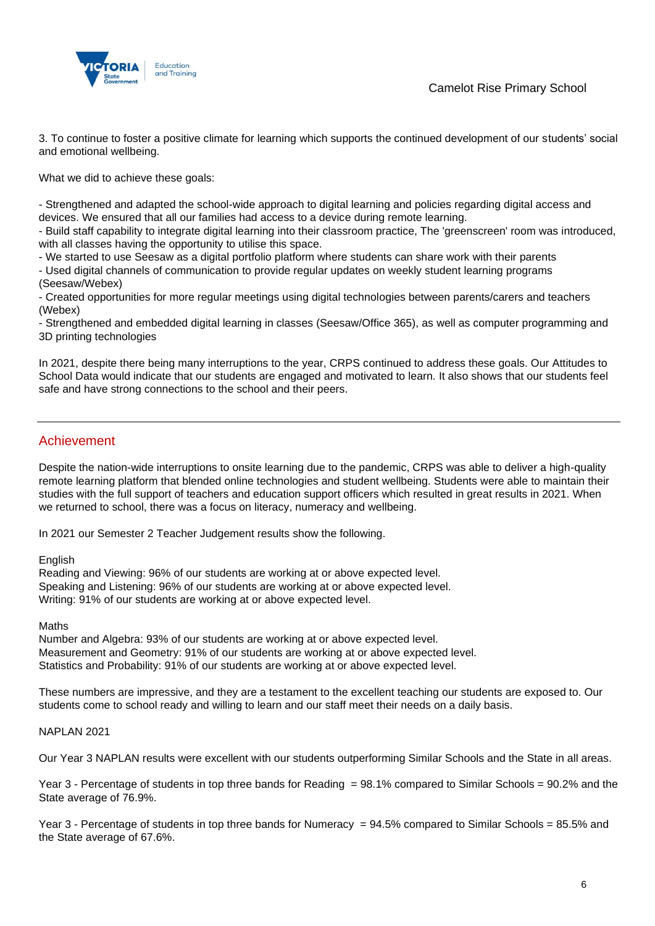

3. To continue to foster a positive climate for learning which supports the continued development of our students' social and emotional wellbeing.

What we did to achieve these goals:

- Strengthened and adapted the school-wide approach to digital learning and policies regarding digital access and devices. We ensured that all our families had access to a device during remote learning.

- Build staff capability to integrate digital learning into their classroom practice, The 'greenscreen' room was introduced, with all classes having the opportunity to utilise this space.

- We started to use Seesaw as a digital portfolio platform where students can share work with their parents

- Used digital channels of communication to provide regular updates on weekly student learning programs (Seesaw/Webex)

- Created opportunities for more regular meetings using digital technologies between parents/carers and teachers (Webex)

- Strengthened and embedded digital learning in classes (Seesaw/Office 365), as well as computer programming and 3D printing technologies

In 2021, despite there being many interruptions to the year, CRPS continued to address these goals. Our Attitudes to School Data would indicate that our students are engaged and motivated to learn. It also shows that our students feel safe and have strong connections to the school and their peers.

### Achievement

Despite the nation-wide interruptions to onsite learning due to the pandemic, CRPS was able to deliver a high-quality remote learning platform that blended online technologies and student wellbeing. Students were able to maintain their studies with the full support of teachers and education support officers which resulted in great results in 2021. When we returned to school, there was a focus on literacy, numeracy and wellbeing.

In 2021 our Semester 2 Teacher Judgement results show the following.

### English

Reading and Viewing: 96% of our students are working at or above expected level. Speaking and Listening: 96% of our students are working at or above expected level. Writing: 91% of our students are working at or above expected level.

### **Maths**

Number and Algebra: 93% of our students are working at or above expected level. Measurement and Geometry: 91% of our students are working at or above expected level. Statistics and Probability: 91% of our students are working at or above expected level.

These numbers are impressive, and they are a testament to the excellent teaching our students are exposed to. Our students come to school ready and willing to learn and our staff meet their needs on a daily basis.

### NAPLAN 2021

Our Year 3 NAPLAN results were excellent with our students outperforming Similar Schools and the State in all areas.

Year 3 - Percentage of students in top three bands for Reading = 98.1% compared to Similar Schools = 90.2% and the State average of 76.9%.

Year 3 - Percentage of students in top three bands for Numeracy = 94.5% compared to Similar Schools = 85.5% and the State average of 67.6%.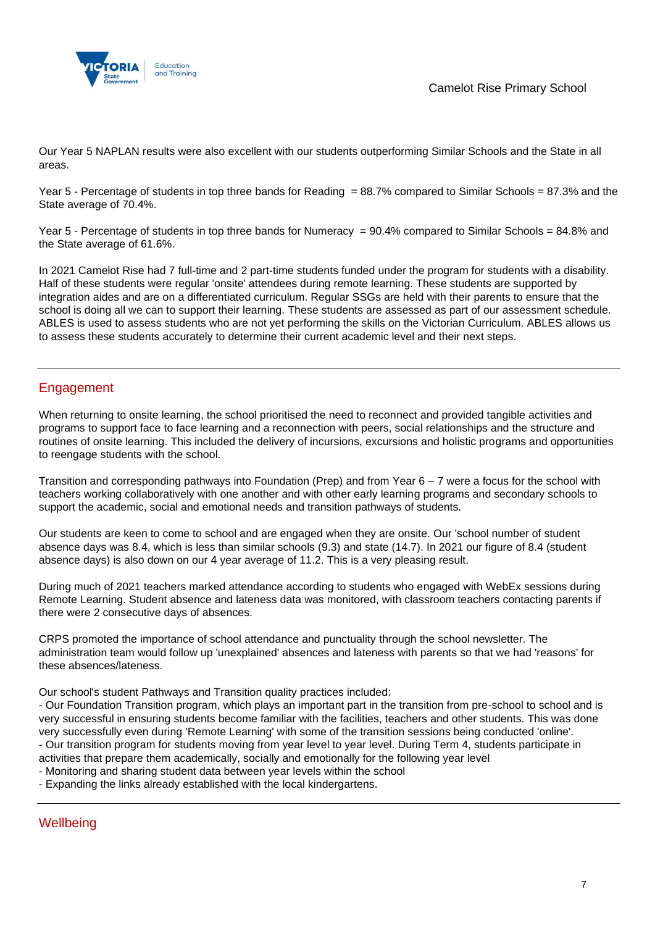

Our Year 5 NAPLAN results were also excellent with our students outperforming Similar Schools and the State in all areas.

Year 5 - Percentage of students in top three bands for Reading = 88.7% compared to Similar Schools = 87.3% and the State average of 70.4%.

Year 5 - Percentage of students in top three bands for Numeracy = 90.4% compared to Similar Schools = 84.8% and the State average of 61.6%.

In 2021 Camelot Rise had 7 full-time and 2 part-time students funded under the program for students with a disability. Half of these students were regular 'onsite' attendees during remote learning. These students are supported by integration aides and are on a differentiated curriculum. Regular SSGs are held with their parents to ensure that the school is doing all we can to support their learning. These students are assessed as part of our assessment schedule. ABLES is used to assess students who are not yet performing the skills on the Victorian Curriculum. ABLES allows us to assess these students accurately to determine their current academic level and their next steps.

## Engagement

When returning to onsite learning, the school prioritised the need to reconnect and provided tangible activities and programs to support face to face learning and a reconnection with peers, social relationships and the structure and routines of onsite learning. This included the delivery of incursions, excursions and holistic programs and opportunities to reengage students with the school.

Transition and corresponding pathways into Foundation (Prep) and from Year 6 – 7 were a focus for the school with teachers working collaboratively with one another and with other early learning programs and secondary schools to support the academic, social and emotional needs and transition pathways of students.

Our students are keen to come to school and are engaged when they are onsite. Our 'school number of student absence days was 8.4, which is less than similar schools (9.3) and state (14.7). In 2021 our figure of 8.4 (student absence days) is also down on our 4 year average of 11.2. This is a very pleasing result.

During much of 2021 teachers marked attendance according to students who engaged with WebEx sessions during Remote Learning. Student absence and lateness data was monitored, with classroom teachers contacting parents if there were 2 consecutive days of absences.

CRPS promoted the importance of school attendance and punctuality through the school newsletter. The administration team would follow up 'unexplained' absences and lateness with parents so that we had 'reasons' for these absences/lateness.

Our school's student Pathways and Transition quality practices included:

- Our Foundation Transition program, which plays an important part in the transition from pre-school to school and is very successful in ensuring students become familiar with the facilities, teachers and other students. This was done very successfully even during 'Remote Learning' with some of the transition sessions being conducted 'online'. - Our transition program for students moving from year level to year level. During Term 4, students participate in activities that prepare them academically, socially and emotionally for the following year level

- Monitoring and sharing student data between year levels within the school
- Expanding the links already established with the local kindergartens.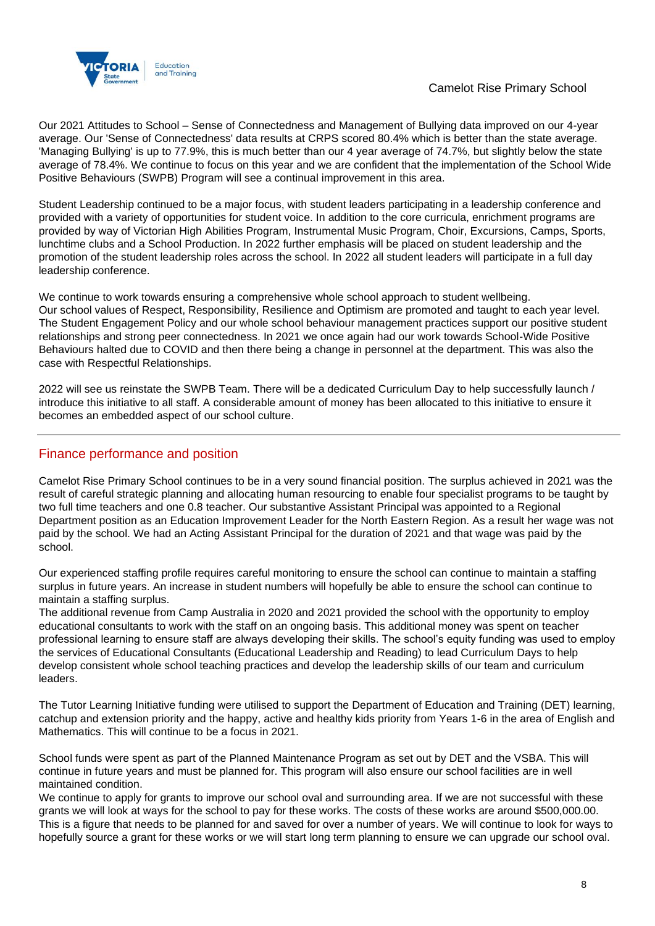

Our 2021 Attitudes to School – Sense of Connectedness and Management of Bullying data improved on our 4-year average. Our 'Sense of Connectedness' data results at CRPS scored 80.4% which is better than the state average. 'Managing Bullying' is up to 77.9%, this is much better than our 4 year average of 74.7%, but slightly below the state average of 78.4%. We continue to focus on this year and we are confident that the implementation of the School Wide Positive Behaviours (SWPB) Program will see a continual improvement in this area.

Student Leadership continued to be a major focus, with student leaders participating in a leadership conference and provided with a variety of opportunities for student voice. In addition to the core curricula, enrichment programs are provided by way of Victorian High Abilities Program, Instrumental Music Program, Choir, Excursions, Camps, Sports, lunchtime clubs and a School Production. In 2022 further emphasis will be placed on student leadership and the promotion of the student leadership roles across the school. In 2022 all student leaders will participate in a full day leadership conference.

We continue to work towards ensuring a comprehensive whole school approach to student wellbeing. Our school values of Respect, Responsibility, Resilience and Optimism are promoted and taught to each year level. The Student Engagement Policy and our whole school behaviour management practices support our positive student relationships and strong peer connectedness. In 2021 we once again had our work towards School-Wide Positive Behaviours halted due to COVID and then there being a change in personnel at the department. This was also the case with Respectful Relationships.

2022 will see us reinstate the SWPB Team. There will be a dedicated Curriculum Day to help successfully launch / introduce this initiative to all staff. A considerable amount of money has been allocated to this initiative to ensure it becomes an embedded aspect of our school culture.

### Finance performance and position

Camelot Rise Primary School continues to be in a very sound financial position. The surplus achieved in 2021 was the result of careful strategic planning and allocating human resourcing to enable four specialist programs to be taught by two full time teachers and one 0.8 teacher. Our substantive Assistant Principal was appointed to a Regional Department position as an Education Improvement Leader for the North Eastern Region. As a result her wage was not paid by the school. We had an Acting Assistant Principal for the duration of 2021 and that wage was paid by the school.

Our experienced staffing profile requires careful monitoring to ensure the school can continue to maintain a staffing surplus in future years. An increase in student numbers will hopefully be able to ensure the school can continue to maintain a staffing surplus.

The additional revenue from Camp Australia in 2020 and 2021 provided the school with the opportunity to employ educational consultants to work with the staff on an ongoing basis. This additional money was spent on teacher professional learning to ensure staff are always developing their skills. The school's equity funding was used to employ the services of Educational Consultants (Educational Leadership and Reading) to lead Curriculum Days to help develop consistent whole school teaching practices and develop the leadership skills of our team and curriculum leaders.

The Tutor Learning Initiative funding were utilised to support the Department of Education and Training (DET) learning, catchup and extension priority and the happy, active and healthy kids priority from Years 1-6 in the area of English and Mathematics. This will continue to be a focus in 2021.

School funds were spent as part of the Planned Maintenance Program as set out by DET and the VSBA. This will continue in future years and must be planned for. This program will also ensure our school facilities are in well maintained condition.

We continue to apply for grants to improve our school oval and surrounding area. If we are not successful with these grants we will look at ways for the school to pay for these works. The costs of these works are around \$500,000.00. This is a figure that needs to be planned for and saved for over a number of years. We will continue to look for ways to hopefully source a grant for these works or we will start long term planning to ensure we can upgrade our school oval.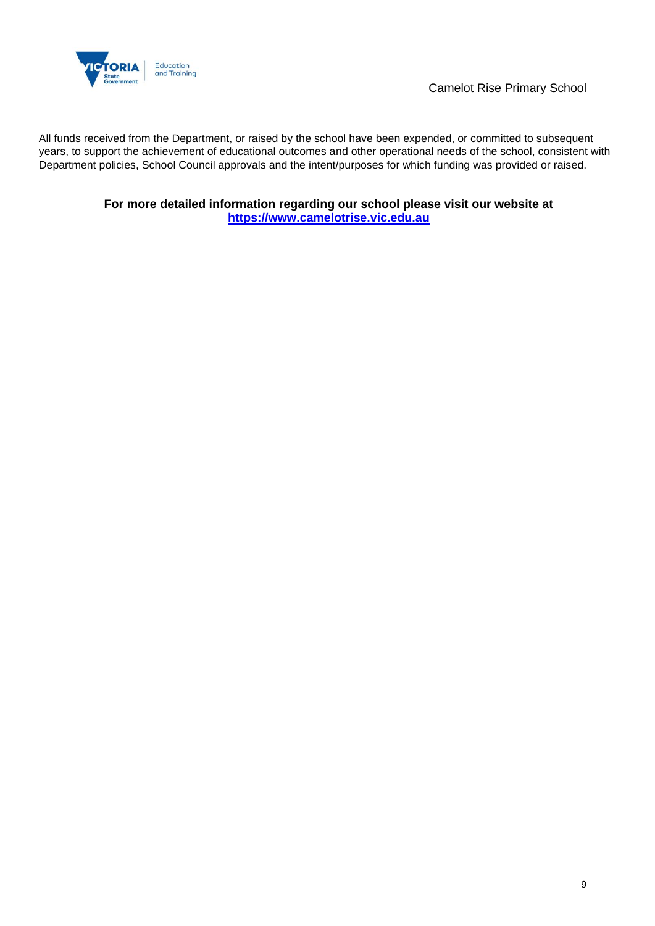

Camelot Rise Primary School

All funds received from the Department, or raised by the school have been expended, or committed to subsequent years, to support the achievement of educational outcomes and other operational needs of the school, consistent with Department policies, School Council approvals and the intent/purposes for which funding was provided or raised.

> **For more detailed information regarding our school please visit our website at [https://www.camelotrise.vic.edu.au](https://www.camelotrise.vic.edu.au/)**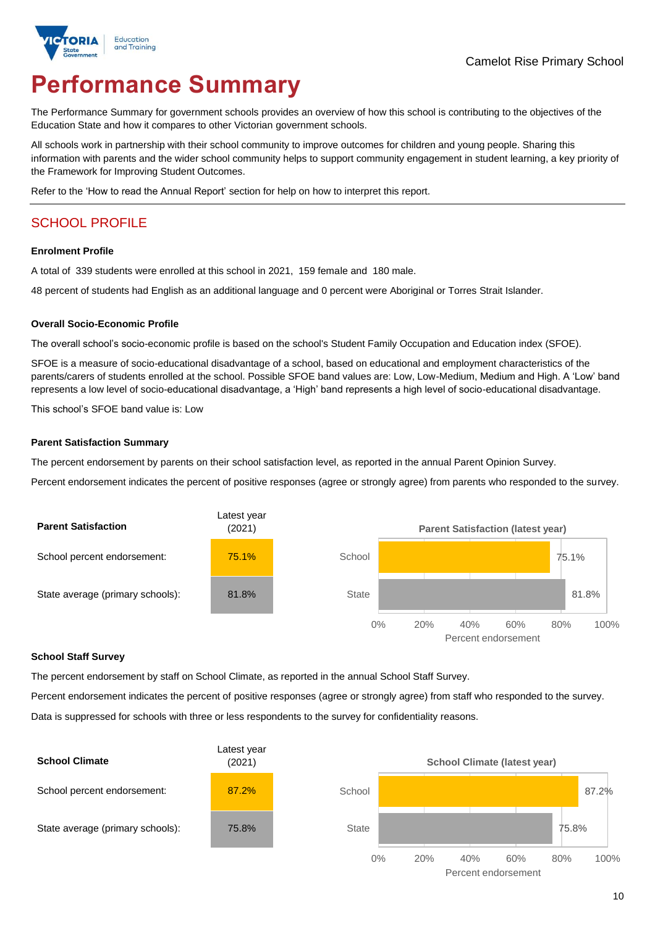

# **Performance Summary**

The Performance Summary for government schools provides an overview of how this school is contributing to the objectives of the Education State and how it compares to other Victorian government schools.

All schools work in partnership with their school community to improve outcomes for children and young people. Sharing this information with parents and the wider school community helps to support community engagement in student learning, a key priority of the Framework for Improving Student Outcomes.

Refer to the 'How to read the Annual Report' section for help on how to interpret this report.

# SCHOOL PROFILE

#### **Enrolment Profile**

A total of 339 students were enrolled at this school in 2021, 159 female and 180 male.

48 percent of students had English as an additional language and 0 percent were Aboriginal or Torres Strait Islander.

#### **Overall Socio-Economic Profile**

The overall school's socio-economic profile is based on the school's Student Family Occupation and Education index (SFOE).

SFOE is a measure of socio-educational disadvantage of a school, based on educational and employment characteristics of the parents/carers of students enrolled at the school. Possible SFOE band values are: Low, Low-Medium, Medium and High. A 'Low' band represents a low level of socio-educational disadvantage, a 'High' band represents a high level of socio-educational disadvantage.

This school's SFOE band value is: Low

### **Parent Satisfaction Summary**

The percent endorsement by parents on their school satisfaction level, as reported in the annual Parent Opinion Survey.

Percent endorsement indicates the percent of positive responses (agree or strongly agree) from parents who responded to the survey.



### **School Staff Survey**

The percent endorsement by staff on School Climate, as reported in the annual School Staff Survey.

Percent endorsement indicates the percent of positive responses (agree or strongly agree) from staff who responded to the survey.

Data is suppressed for schools with three or less respondents to the survey for confidentiality reasons.

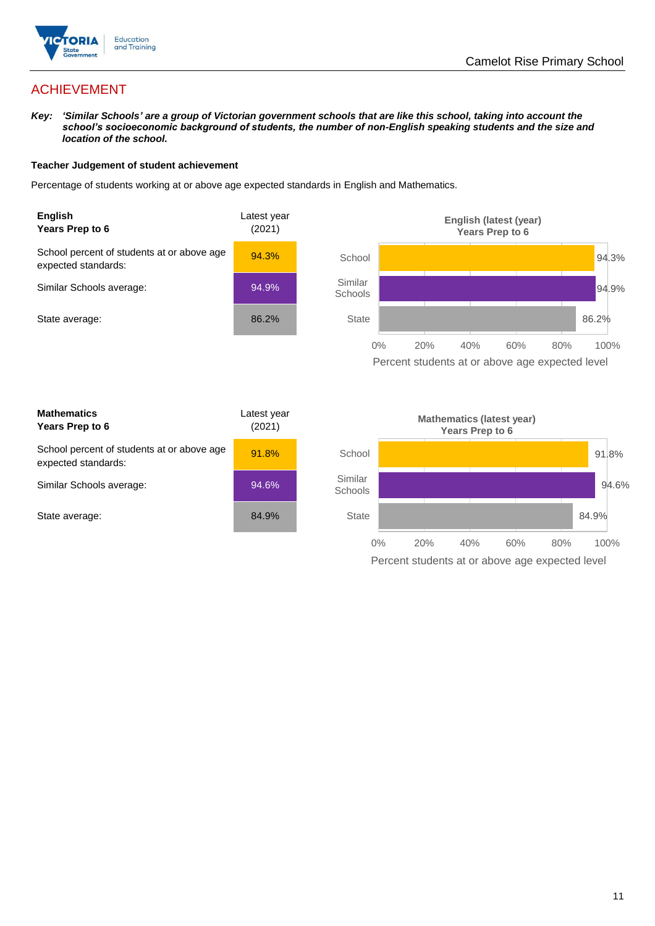

# ACHIEVEMENT

*Key: 'Similar Schools' are a group of Victorian government schools that are like this school, taking into account the school's socioeconomic background of students, the number of non-English speaking students and the size and location of the school.*

### **Teacher Judgement of student achievement**

Percentage of students working at or above age expected standards in English and Mathematics.



Percent students at or above age expected level

| <b>Mathematics</b><br>Years Prep to 6                             | Latest year<br>(2021) |
|-------------------------------------------------------------------|-----------------------|
| School percent of students at or above age<br>expected standards: | 91.8%                 |
| Similar Schools average:                                          | 94.6%                 |
| State average:                                                    | 84.9%                 |

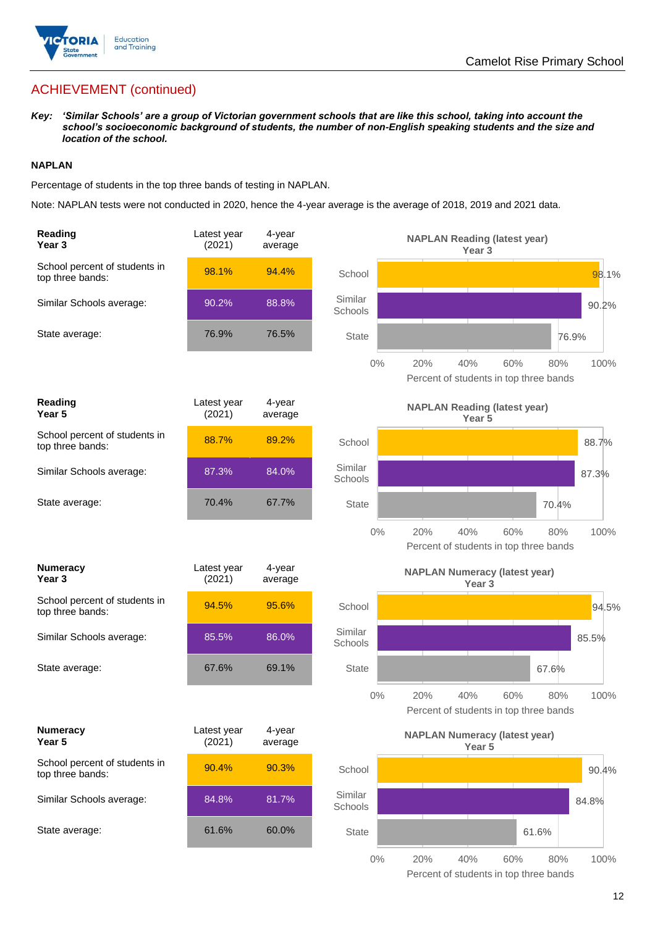

# ACHIEVEMENT (continued)

*Key: 'Similar Schools' are a group of Victorian government schools that are like this school, taking into account the school's socioeconomic background of students, the number of non-English speaking students and the size and location of the school.*

### **NAPLAN**

Percentage of students in the top three bands of testing in NAPLAN.

Note: NAPLAN tests were not conducted in 2020, hence the 4-year average is the average of 2018, 2019 and 2021 data.

| Reading<br>Year <sub>3</sub>                      | Latest year<br>(2021) | 4-year<br>average |                    | <b>NAPLAN Reading (latest year)</b><br>Year <sub>3</sub>           |       |
|---------------------------------------------------|-----------------------|-------------------|--------------------|--------------------------------------------------------------------|-------|
| School percent of students in<br>top three bands: | 98.1%                 | 94.4%             | School             |                                                                    | 98.1% |
| Similar Schools average:                          | 90.2%                 | 88.8%             | Similar<br>Schools |                                                                    | 90.2% |
| State average:                                    | 76.9%                 | 76.5%             | <b>State</b>       | 76.9%                                                              |       |
|                                                   |                       |                   | $0\%$              | 60%<br>20%<br>40%<br>80%<br>Percent of students in top three bands | 100%  |
| <b>Reading</b><br>Year <sub>5</sub>               | Latest year<br>(2021) | 4-year<br>average |                    | <b>NAPLAN Reading (latest year)</b><br>Year <sub>5</sub>           |       |
| School percent of students in<br>top three bands: | 88.7%                 | 89.2%             | School             |                                                                    | 88.7% |
| Similar Schools average:                          | 87.3%                 | 84.0%             | Similar<br>Schools |                                                                    | 87.3% |
| State average:                                    | 70.4%                 | 67.7%             | <b>State</b>       | 70.4%                                                              |       |
|                                                   |                       |                   | $0\%$              | 20%<br>40%<br>60%<br>80%<br>Percent of students in top three bands | 100%  |
| <b>Numeracy</b><br>Year <sub>3</sub>              | Latest year<br>(2021) | 4-year<br>average |                    | <b>NAPLAN Numeracy (latest year)</b><br>Year <sub>3</sub>          |       |
| School percent of students in<br>top three bands: | 94.5%                 | 95.6%             | School             |                                                                    | 94.5% |
| Similar Schools average:                          | 85.5%                 | 86.0%             | Similar<br>Schools |                                                                    | 85.5% |
| State average:                                    | 67.6%                 | 69.1%             | <b>State</b>       | 67.6%                                                              |       |
|                                                   |                       |                   | 0%                 | 20%<br>40%<br>60%<br>80%<br>Percent of students in top three bands | 100%  |
| <b>Numeracy</b><br>Year 5                         | Latest year<br>(2021) | 4-year<br>average |                    | <b>NAPLAN Numeracy (latest year)</b><br>Year <sub>5</sub>          |       |
| School percent of students in<br>top three bands: | 90.4%                 | 90.3%             | School             |                                                                    | 90.4% |
| Similar Schools average:                          | 84.8%                 | 81.7%             | Similar<br>Schools |                                                                    | 84.8% |
| State average:                                    | 61.6%                 | 60.0%             | <b>State</b>       | 61.6%                                                              |       |
|                                                   |                       |                   | $0\%$              | 20%<br>40%<br>60%<br>80%                                           | 100%  |

Percent of students in top three bands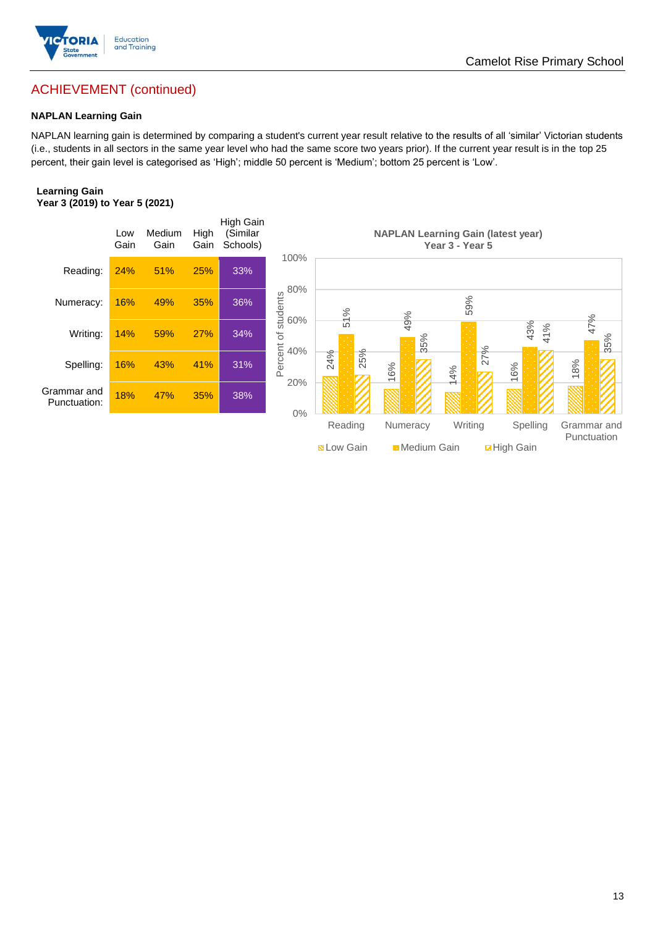

# ACHIEVEMENT (continued)

### **NAPLAN Learning Gain**

NAPLAN learning gain is determined by comparing a student's current year result relative to the results of all 'similar' Victorian students (i.e., students in all sectors in the same year level who had the same score two years prior). If the current year result is in the top 25 percent, their gain level is categorised as 'High'; middle 50 percent is 'Medium'; bottom 25 percent is 'Low'.

### **Learning Gain Year 3 (2019) to Year 5 (2021)**



**BLow Gain** Medium Gain **Example 10**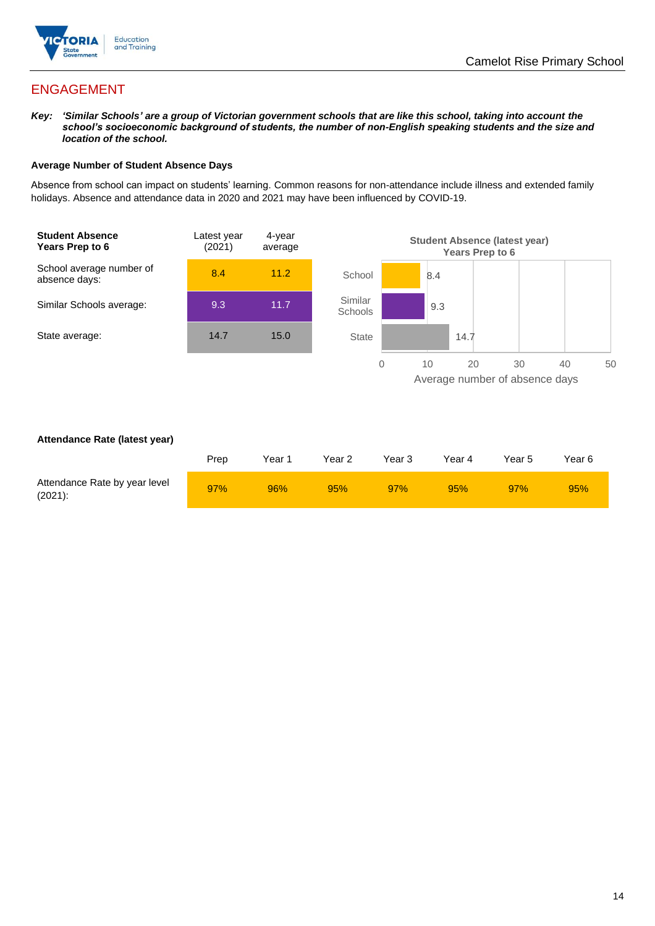

# ENGAGEMENT

*Key: 'Similar Schools' are a group of Victorian government schools that are like this school, taking into account the school's socioeconomic background of students, the number of non-English speaking students and the size and location of the school.*

### **Average Number of Student Absence Days**

Absence from school can impact on students' learning. Common reasons for non-attendance include illness and extended family holidays. Absence and attendance data in 2020 and 2021 may have been influenced by COVID-19.



### **Attendance Rate (latest year)**

|                                             | Prep | Year 1 | Year 2 | Year 3 | Year 4 | Year 5 | Year 6 |
|---------------------------------------------|------|--------|--------|--------|--------|--------|--------|
| Attendance Rate by year level<br>$(2021)$ : | 97%  | 96%    | 95%    | 97%    | 95%    | 97%    | 95%    |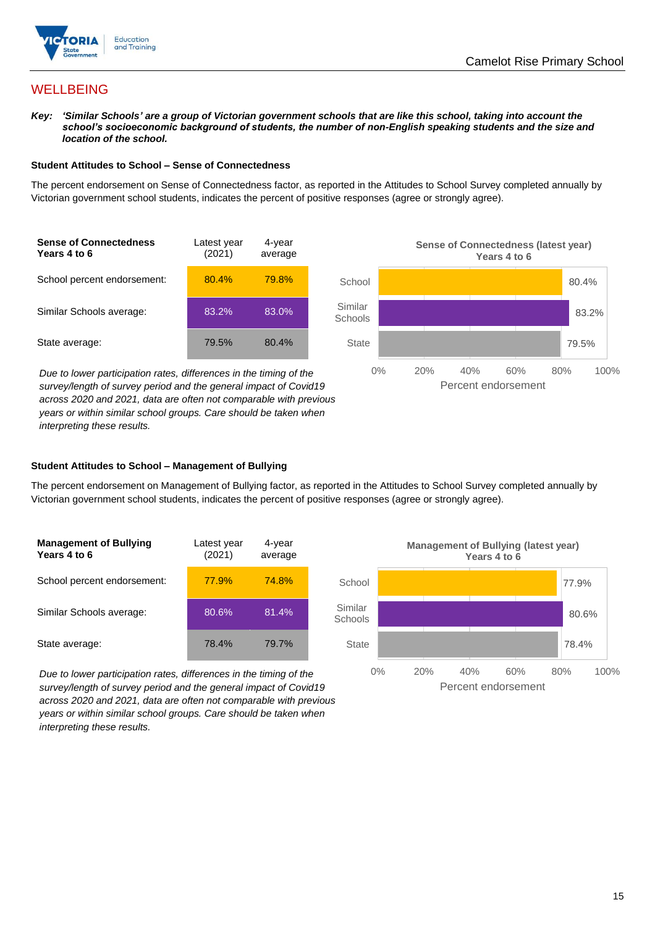

## **WELLBEING**

*Key: 'Similar Schools' are a group of Victorian government schools that are like this school, taking into account the school's socioeconomic background of students, the number of non-English speaking students and the size and location of the school.*

### **Student Attitudes to School – Sense of Connectedness**

The percent endorsement on Sense of Connectedness factor, as reported in the Attitudes to School Survey completed annually by Victorian government school students, indicates the percent of positive responses (agree or strongly agree).



*Due to lower participation rates, differences in the timing of the survey/length of survey period and the general impact of Covid19 across 2020 and 2021, data are often not comparable with previous years or within similar school groups. Care should be taken when interpreting these results.*



### **Student Attitudes to School – Management of Bullying**

The percent endorsement on Management of Bullying factor, as reported in the Attitudes to School Survey completed annually by Victorian government school students, indicates the percent of positive responses (agree or strongly agree).

| <b>Management of Bullying</b><br>Years 4 to 6 | Latest year<br>(2021) | 4-year<br>average |  |
|-----------------------------------------------|-----------------------|-------------------|--|
| School percent endorsement:                   | 77.9%                 | 74.8%             |  |
| Similar Schools average:                      | 80.6%                 | 81.4%             |  |
| State average:                                | 78.4%                 | 79.7%             |  |

*Due to lower participation rates, differences in the timing of the survey/length of survey period and the general impact of Covid19 across 2020 and 2021, data are often not comparable with previous years or within similar school groups. Care should be taken when interpreting these results.*

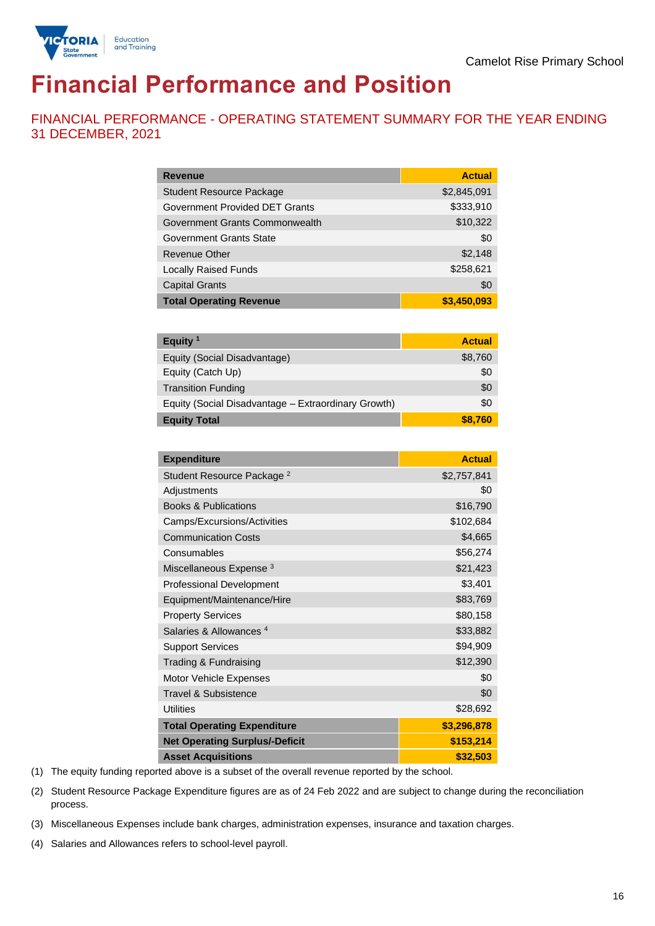

# **Financial Performance and Position**

FINANCIAL PERFORMANCE - OPERATING STATEMENT SUMMARY FOR THE YEAR ENDING 31 DECEMBER, 2021

| <b>Revenue</b>                  | <b>Actual</b> |
|---------------------------------|---------------|
| <b>Student Resource Package</b> | \$2,845,091   |
| Government Provided DET Grants  | \$333,910     |
| Government Grants Commonwealth  | \$10,322      |
| Government Grants State         | \$0           |
| <b>Revenue Other</b>            | \$2,148       |
| <b>Locally Raised Funds</b>     | \$258,621     |
| <b>Capital Grants</b>           | \$0           |
| <b>Total Operating Revenue</b>  | \$3,450,093   |

| Equity $1$                                          | <b>Actual</b> |
|-----------------------------------------------------|---------------|
| Equity (Social Disadvantage)                        | \$8,760       |
| Equity (Catch Up)                                   | \$0           |
| <b>Transition Funding</b>                           | \$0           |
| Equity (Social Disadvantage - Extraordinary Growth) | \$0           |
| <b>Equity Total</b>                                 | \$8.760       |

| <b>Expenditure</b>                    | <b>Actual</b> |
|---------------------------------------|---------------|
| Student Resource Package <sup>2</sup> | \$2,757,841   |
| Adjustments                           | \$0           |
| <b>Books &amp; Publications</b>       | \$16,790      |
| Camps/Excursions/Activities           | \$102,684     |
| <b>Communication Costs</b>            | \$4,665       |
| Consumables                           | \$56,274      |
| Miscellaneous Expense <sup>3</sup>    | \$21,423      |
| <b>Professional Development</b>       | \$3,401       |
| Equipment/Maintenance/Hire            | \$83,769      |
| <b>Property Services</b>              | \$80,158      |
| Salaries & Allowances <sup>4</sup>    | \$33,882      |
| <b>Support Services</b>               | \$94,909      |
| Trading & Fundraising                 | \$12,390      |
| Motor Vehicle Expenses                | \$0           |
| Travel & Subsistence                  | \$0           |
| <b>Utilities</b>                      | \$28,692      |
| <b>Total Operating Expenditure</b>    | \$3,296,878   |
| <b>Net Operating Surplus/-Deficit</b> | \$153,214     |
| <b>Asset Acquisitions</b>             | \$32,503      |

(1) The equity funding reported above is a subset of the overall revenue reported by the school.

(2) Student Resource Package Expenditure figures are as of 24 Feb 2022 and are subject to change during the reconciliation process.

(3) Miscellaneous Expenses include bank charges, administration expenses, insurance and taxation charges.

(4) Salaries and Allowances refers to school-level payroll.